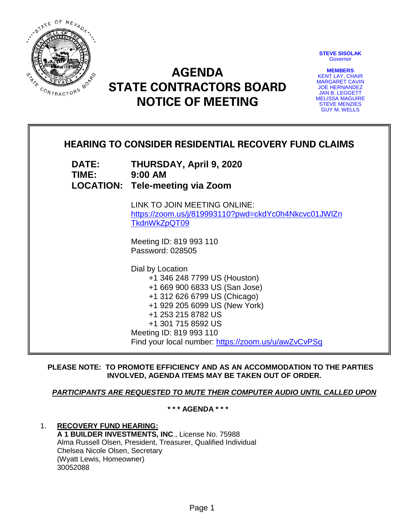

**STEVE SISOLAK Governor** 

**MEMBERS** KENT LAY, CHAIR MARGARET CAVIN JOE HERNANDEZ JAN B. LEGGETT MELISSA MAGUIRE STEVE MENZIES GUY M. WELLS

# **AGENDA STATE CONTRACTORS BOARD NOTICE OF MEETING**

## **HEARING TO CONSIDER RESIDENTIAL RECOVERY FUND CLAIMS**

**DATE: THURSDAY, April 9, 2020 TIME: 9:00 AM LOCATION: Tele-meeting via Zoom**

> LINK TO JOIN MEETING ONLINE: [https://zoom.us/j/819993110?pwd=ckdYc0h4Nkcvc01JWlZn](https://zoom.us/j/819993110?pwd=ckdYc0h4Nkcvc01JWlZnTkdnWkZpQT09) [TkdnWkZpQT09](https://zoom.us/j/819993110?pwd=ckdYc0h4Nkcvc01JWlZnTkdnWkZpQT09)

Meeting ID: 819 993 110 Password: 028505

Dial by Location +1 346 248 7799 US (Houston) +1 669 900 6833 US (San Jose) +1 312 626 6799 US (Chicago) +1 929 205 6099 US (New York) +1 253 215 8782 US +1 301 715 8592 US Meeting ID: 819 993 110 Find your local number:<https://zoom.us/u/awZvCvPSq>

**PLEASE NOTE: TO PROMOTE EFFICIENCY AND AS AN ACCOMMODATION TO THE PARTIES INVOLVED, AGENDA ITEMS MAY BE TAKEN OUT OF ORDER.**

#### *PARTICIPANTS ARE REQUESTED TO MUTE THEIR COMPUTER AUDIO UNTIL CALLED UPON*

**\* \* \* AGENDA \* \* \***

1. **RECOVERY FUND HEARING: A 1 BUILDER INVESTMENTS, INC**., License No. 75988 Alma Russell Olsen, President, Treasurer, Qualified Individual Chelsea Nicole Olsen, Secretary (Wyatt Lewis, Homeowner) 30052088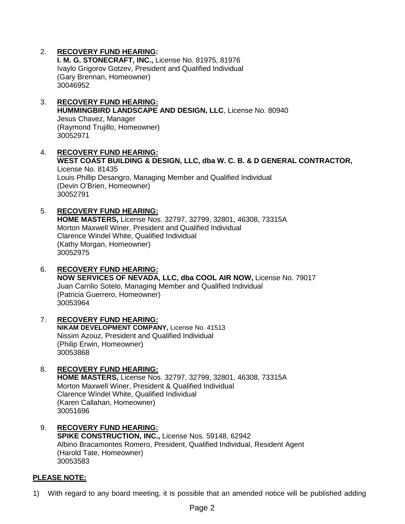### 2. **RECOVERY FUND HEARING:**

**I. M. G. STONECRAFT, INC.,** License No. 81975, 81976 Ivaylo Grigorov Gotzev, President and Qualified Individual (Gary Brennan, Homeowner) 30046952

- 3. **RECOVERY FUND HEARING: HUMMINGBIRD LANDSCAPE AND DESIGN, LLC**, License No. 80940 Jesus Chavez, Manager (Raymond Trujillo, Homeowner) 30052971
- 4. **RECOVERY FUND HEARING: WEST COAST BUILDING & DESIGN, LLC, dba W. C. B. & D GENERAL CONTRACTOR,**  License No. 81435 Louis Phillip Desangro, Managing Member and Qualified Individual (Devin O'Brien, Homeowner) 30052791
- 5. **RECOVERY FUND HEARING: HOME MASTERS,** License Nos. 32797, 32799, 32801, 46308, 73315A Morton Maxwell Winer, President and Qualified Individual Clarence Windel White, Qualified Individual (Kathy Morgan, Homeowner) 30052975
- 6. **RECOVERY FUND HEARING: NOW SERVICES OF NEVADA, LLC, dba COOL AIR NOW,** License No. 79017 Juan Carrilio Sotelo, Managing Member and Qualified Individual (Patricia Guerrero, Homeowner) 30053964
- 7. **RECOVERY FUND HEARING: NIKAM DEVELOPMENT COMPANY,** License No. 41513 Nissim Azouz, President and Qualified Individual (Philip Erwin, Homeowner) 30053868
- 8. **RECOVERY FUND HEARING: HOME MASTERS,** License Nos. 32797, 32799, 32801, 46308, 73315A Morton Maxwell Winer, President & Qualified Individual Clarence Windel White, Qualified Individual (Karen Callahan, Homeowner) 30051696
- 9. **RECOVERY FUND HEARING: SPIKE CONSTRUCTION, INC.,** License Nos. 59148, 62942 Albino Bracamontes Romero, President, Qualified Individual, Resident Agent (Harold Tate, Homeowner) 30053583

#### **PLEASE NOTE:**

1) With regard to any board meeting, it is possible that an amended notice will be published adding